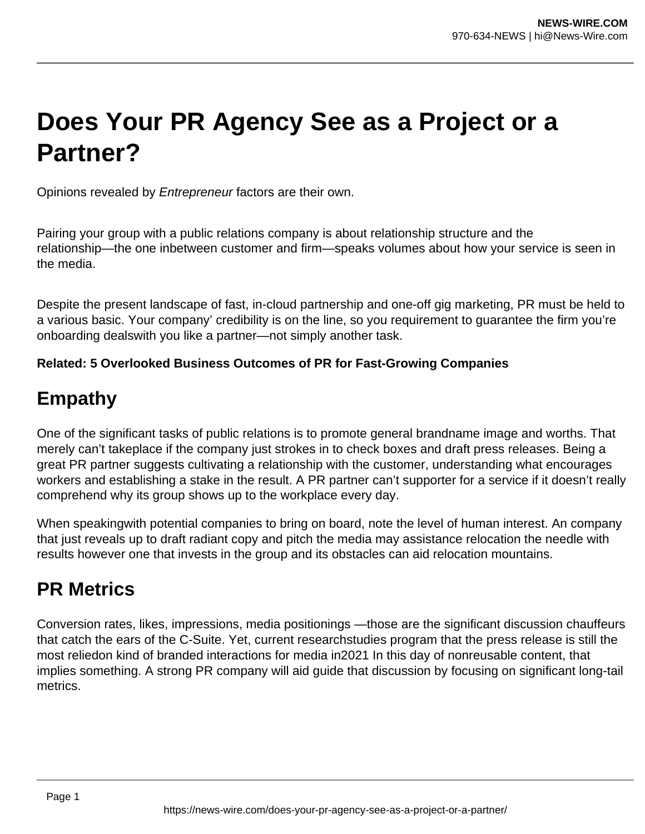# **Does Your PR Agency See as a Project or a Partner?**

Opinions revealed by Entrepreneur factors are their own.

Pairing your group with a public relations company is about relationship structure and the relationship—the one inbetween customer and firm—speaks volumes about how your service is seen in the media.

Despite the present landscape of fast, in-cloud partnership and one-off gig marketing, PR must be held to a various basic. Your company' credibility is on the line, so you requirement to guarantee the firm you're onboarding dealswith you like a partner—not simply another task.

#### **Related: 5 Overlooked Business Outcomes of PR for Fast-Growing Companies**

### **Empathy**

One of the significant tasks of public relations is to promote general brandname image and worths. That merely can't takeplace if the company just strokes in to check boxes and draft press releases. Being a great PR partner suggests cultivating a relationship with the customer, understanding what encourages workers and establishing a stake in the result. A PR partner can't supporter for a service if it doesn't really comprehend why its group shows up to the workplace every day.

When speakingwith potential companies to bring on board, note the level of human interest. An company that just reveals up to draft radiant copy and pitch the media may assistance relocation the needle with results however one that invests in the group and its obstacles can aid relocation mountains.

### **PR Metrics**

Conversion rates, likes, impressions, media positionings —those are the significant discussion chauffeurs that catch the ears of the C-Suite. Yet, current researchstudies program that the press release is still the most reliedon kind of branded interactions for media in2021 In this day of nonreusable content, that implies something. A strong PR company will aid guide that discussion by focusing on significant long-tail metrics.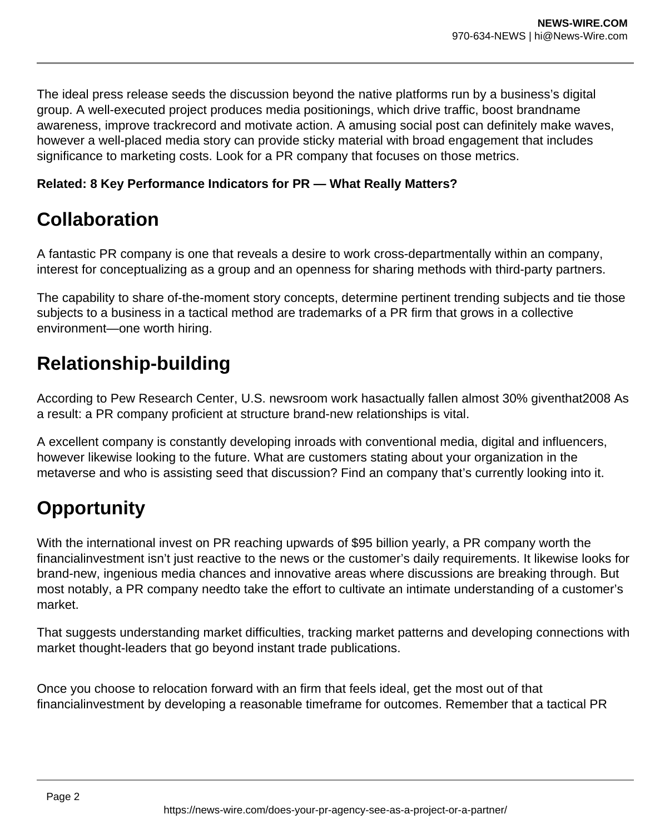The ideal press release seeds the discussion beyond the native platforms run by a business's digital group. A well-executed project produces media positionings, which drive traffic, boost brandname awareness, improve trackrecord and motivate action. A amusing social post can definitely make waves, however a well-placed media story can provide sticky material with broad engagement that includes significance to marketing costs. Look for a PR company that focuses on those metrics.

#### **Related: 8 Key Performance Indicators for PR — What Really Matters?**

### **Collaboration**

A fantastic PR company is one that reveals a desire to work cross-departmentally within an company, interest for conceptualizing as a group and an openness for sharing methods with third-party partners.

The capability to share of-the-moment story concepts, determine pertinent trending subjects and tie those subjects to a business in a tactical method are trademarks of a PR firm that grows in a collective environment—one worth hiring.

### **Relationship-building**

According to Pew Research Center, U.S. newsroom work hasactually fallen almost 30% giventhat2008 As a result: a PR company proficient at structure brand-new relationships is vital.

A excellent company is constantly developing inroads with conventional media, digital and influencers, however likewise looking to the future. What are customers stating about your organization in the metaverse and who is assisting seed that discussion? Find an company that's currently looking into it.

## **Opportunity**

With the international invest on PR reaching upwards of \$95 billion yearly, a PR company worth the financialinvestment isn't just reactive to the news or the customer's daily requirements. It likewise looks for brand-new, ingenious media chances and innovative areas where discussions are breaking through. But most notably, a PR company needto take the effort to cultivate an intimate understanding of a customer's market.

That suggests understanding market difficulties, tracking market patterns and developing connections with market thought-leaders that go beyond instant trade publications.

Once you choose to relocation forward with an firm that feels ideal, get the most out of that financialinvestment by developing a reasonable timeframe for outcomes. Remember that a tactical PR